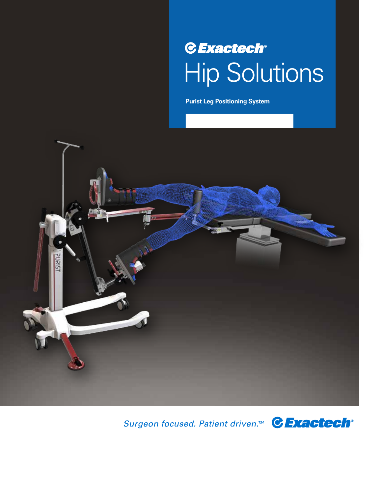## **C** Exactech® Hip Solutions

**Purist Leg Positioning System**



Surgeon focused. Patient driven.<sup>™</sup> CExactech<sup>®</sup>